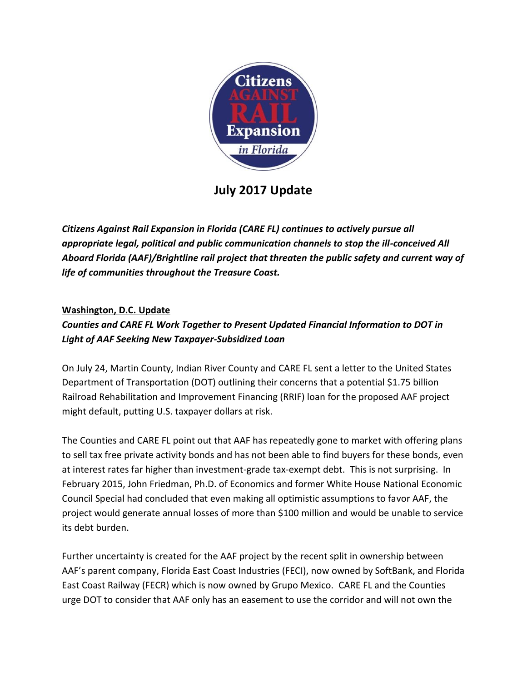

# **July 2017 Update**

*Citizens Against Rail Expansion in Florida (CARE FL) continues to actively pursue all appropriate legal, political and public communication channels to stop the ill-conceived All Aboard Florida (AAF)/Brightline rail project that threaten the public safety and current way of life of communities throughout the Treasure Coast.*

## **Washington, D.C. Update**

# *Counties and CARE FL Work Together to Present Updated Financial Information to DOT in Light of AAF Seeking New Taxpayer-Subsidized Loan*

On July 24, Martin County, Indian River County and CARE FL sent a letter to the United States Department of Transportation (DOT) outlining their concerns that a potential \$1.75 billion Railroad Rehabilitation and Improvement Financing (RRIF) loan for the proposed AAF project might default, putting U.S. taxpayer dollars at risk.

The Counties and CARE FL point out that AAF has repeatedly gone to market with offering plans to sell tax free private activity bonds and has not been able to find buyers for these bonds, even at interest rates far higher than investment-grade tax-exempt debt. This is not surprising. In February 2015, John Friedman, Ph.D. of Economics and former White House National Economic Council Special had concluded that even making all optimistic assumptions to favor AAF, the project would generate annual losses of more than \$100 million and would be unable to service its debt burden.

Further uncertainty is created for the AAF project by the recent split in ownership between AAF's parent company, Florida East Coast Industries (FECI), now owned by SoftBank, and Florida East Coast Railway (FECR) which is now owned by Grupo Mexico. CARE FL and the Counties urge DOT to consider that AAF only has an easement to use the corridor and will not own the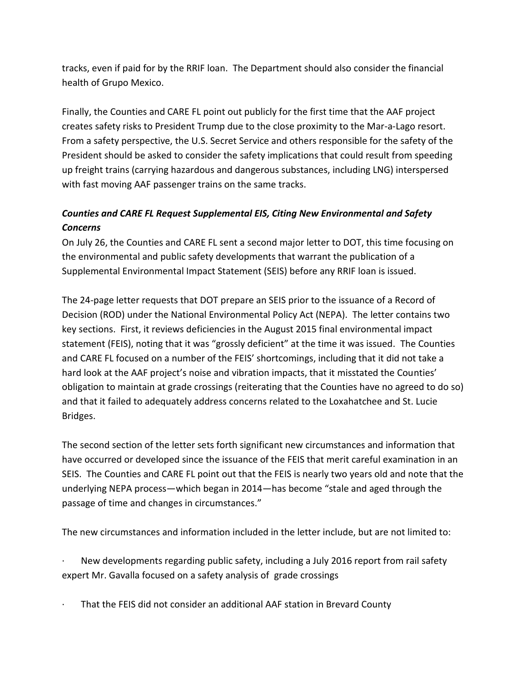tracks, even if paid for by the RRIF loan. The Department should also consider the financial health of Grupo Mexico.

Finally, the Counties and CARE FL point out publicly for the first time that the AAF project creates safety risks to President Trump due to the close proximity to the Mar-a-Lago resort. From a safety perspective, the U.S. Secret Service and others responsible for the safety of the President should be asked to consider the safety implications that could result from speeding up freight trains (carrying hazardous and dangerous substances, including LNG) interspersed with fast moving AAF passenger trains on the same tracks.

# *Counties and CARE FL Request Supplemental EIS, Citing New Environmental and Safety Concerns*

On July 26, the Counties and CARE FL sent a second major letter to DOT, this time focusing on the environmental and public safety developments that warrant the publication of a Supplemental Environmental Impact Statement (SEIS) before any RRIF loan is issued.

The 24-page letter requests that DOT prepare an SEIS prior to the issuance of a Record of Decision (ROD) under the National Environmental Policy Act (NEPA). The letter contains two key sections. First, it reviews deficiencies in the August 2015 final environmental impact statement (FEIS), noting that it was "grossly deficient" at the time it was issued. The Counties and CARE FL focused on a number of the FEIS' shortcomings, including that it did not take a hard look at the AAF project's noise and vibration impacts, that it misstated the Counties' obligation to maintain at grade crossings (reiterating that the Counties have no agreed to do so) and that it failed to adequately address concerns related to the Loxahatchee and St. Lucie Bridges.

The second section of the letter sets forth significant new circumstances and information that have occurred or developed since the issuance of the FEIS that merit careful examination in an SEIS. The Counties and CARE FL point out that the FEIS is nearly two years old and note that the underlying NEPA process—which began in 2014—has become "stale and aged through the passage of time and changes in circumstances."

The new circumstances and information included in the letter include, but are not limited to:

New developments regarding public safety, including a July 2016 report from rail safety expert Mr. Gavalla focused on a safety analysis of grade crossings

That the FEIS did not consider an additional AAF station in Brevard County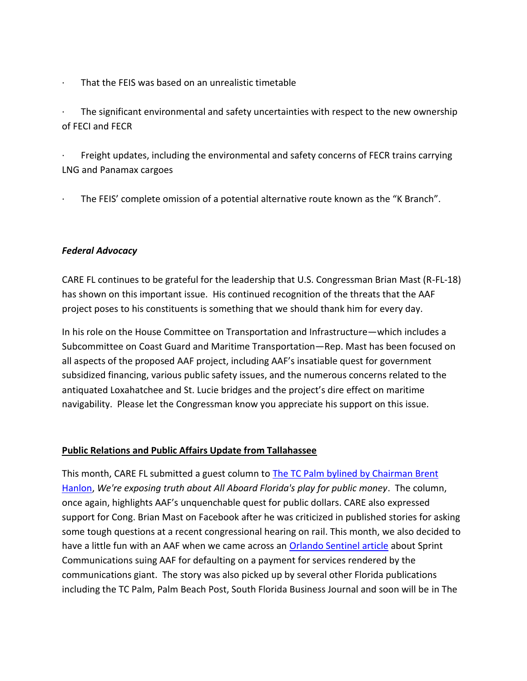That the FEIS was based on an unrealistic timetable

The significant environmental and safety uncertainties with respect to the new ownership of FECI and FECR

Freight updates, including the environmental and safety concerns of FECR trains carrying LNG and Panamax cargoes

The FEIS' complete omission of a potential alternative route known as the "K Branch".

#### *Federal Advocacy*

CARE FL continues to be grateful for the leadership that U.S. Congressman Brian Mast (R-FL-18) has shown on this important issue. His continued recognition of the threats that the AAF project poses to his constituents is something that we should thank him for every day.

In his role on the House Committee on Transportation and Infrastructure—which includes a Subcommittee on Coast Guard and Maritime Transportation—Rep. Mast has been focused on all aspects of the proposed AAF project, including AAF's insatiable quest for government subsidized financing, various public safety issues, and the numerous concerns related to the antiquated Loxahatchee and St. Lucie bridges and the project's dire effect on maritime navigability. Please let the Congressman know you appreciate his support on this issue.

### **Public Relations and Public Affairs Update from Tallahassee**

This month, CARE FL submitted a guest column to [The TC Palm bylined by Chairman Brent](http://www.tcpalm.com/story/opinion/contributors/2017/07/11/were-exposing-truth-all-aboard-florida-guest-column/467447001/)  [Hanlon,](http://www.tcpalm.com/story/opinion/contributors/2017/07/11/were-exposing-truth-all-aboard-florida-guest-column/467447001/) *We're exposing truth about All Aboard Florida's play for public money*. The column, once again, highlights AAF's unquenchable quest for public dollars. CARE also expressed support for Cong. Brian Mast on Facebook after he was criticized in published stories for asking some tough questions at a recent congressional hearing on rail. This month, we also decided to have a little fun with an AAF when we came across an [Orlando Sentinel article](http://www.orlandosentinel.com/business/brinkmann-on-business/os-sprint-all-aboard-florida-20170718-story.html) about Sprint Communications suing AAF for defaulting on a payment for services rendered by the communications giant. The story was also picked up by several other Florida publications including the TC Palm, Palm Beach Post, South Florida Business Journal and soon will be in The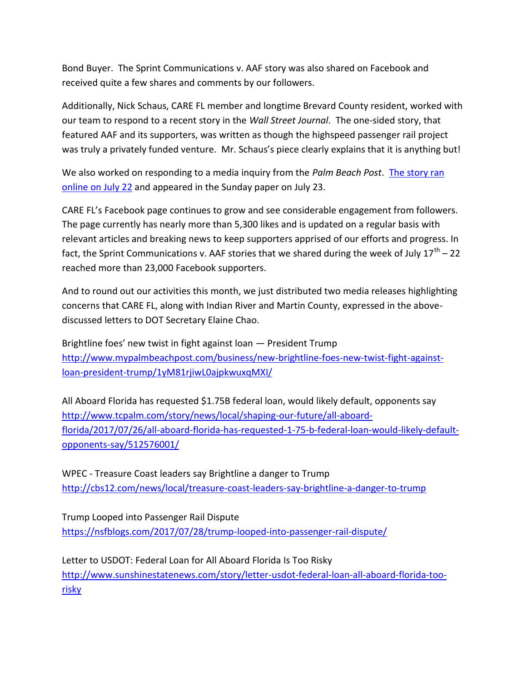Bond Buyer. The Sprint Communications v. AAF story was also shared on Facebook and received quite a few shares and comments by our followers.

Additionally, Nick Schaus, CARE FL member and longtime Brevard County resident, worked with our team to respond to a recent story in the *Wall Street Journal*. The one-sided story, that featured AAF and its supporters, was written as though the highspeed passenger rail project was truly a privately funded venture. Mr. Schaus's piece clearly explains that it is anything but!

We also worked on responding to a media inquiry from the *Palm Beach Post*. [The story ran](http://www.mypalmbeachpost.com/business/commuters-not-tourists-key-brightline-orlando-pushed-2020/bNUKL3wcf8bpREuOKh46fL/)  [online on July 22](http://www.mypalmbeachpost.com/business/commuters-not-tourists-key-brightline-orlando-pushed-2020/bNUKL3wcf8bpREuOKh46fL/) and appeared in the Sunday paper on July 23.

CARE FL's Facebook page continues to grow and see considerable engagement from followers. The page currently has nearly more than 5,300 likes and is updated on a regular basis with relevant articles and breaking news to keep supporters apprised of our efforts and progress. In fact, the Sprint Communications v. AAF stories that we shared during the week of July  $17^{\text{th}}$  – 22 reached more than 23,000 Facebook supporters.

And to round out our activities this month, we just distributed two media releases highlighting concerns that CARE FL, along with Indian River and Martin County, expressed in the abovediscussed letters to DOT Secretary Elaine Chao.

Brightline foes' new twist in fight against loan — President Trump [http://www.mypalmbeachpost.com/business/new-brightline-foes-new-twist-fight-against](http://www.mypalmbeachpost.com/business/new-brightline-foes-new-twist-fight-against-loan-president-trump/1yM81rjiwL0ajpkwuxqMXI/)[loan-president-trump/1yM81rjiwL0ajpkwuxqMXI/](http://www.mypalmbeachpost.com/business/new-brightline-foes-new-twist-fight-against-loan-president-trump/1yM81rjiwL0ajpkwuxqMXI/)

All Aboard Florida has requested \$1.75B federal loan, would likely default, opponents say [http://www.tcpalm.com/story/news/local/shaping-our-future/all-aboard](http://www.tcpalm.com/story/news/local/shaping-our-future/all-aboard-florida/2017/07/26/all-aboard-florida-has-requested-1-75-b-federal-loan-would-likely-default-opponents-say/512576001/)[florida/2017/07/26/all-aboard-florida-has-requested-1-75-b-federal-loan-would-likely-default](http://www.tcpalm.com/story/news/local/shaping-our-future/all-aboard-florida/2017/07/26/all-aboard-florida-has-requested-1-75-b-federal-loan-would-likely-default-opponents-say/512576001/)[opponents-say/512576001/](http://www.tcpalm.com/story/news/local/shaping-our-future/all-aboard-florida/2017/07/26/all-aboard-florida-has-requested-1-75-b-federal-loan-would-likely-default-opponents-say/512576001/)

WPEC - Treasure Coast leaders say Brightline a danger to Trump <http://cbs12.com/news/local/treasure-coast-leaders-say-brightline-a-danger-to-trump>

Trump Looped into Passenger Rail Dispute <https://nsfblogs.com/2017/07/28/trump-looped-into-passenger-rail-dispute/>

Letter to USDOT: Federal Loan for All Aboard Florida Is Too Risky [http://www.sunshinestatenews.com/story/letter-usdot-federal-loan-all-aboard-florida-too](http://www.sunshinestatenews.com/story/letter-usdot-federal-loan-all-aboard-florida-too-risky)[risky](http://www.sunshinestatenews.com/story/letter-usdot-federal-loan-all-aboard-florida-too-risky)